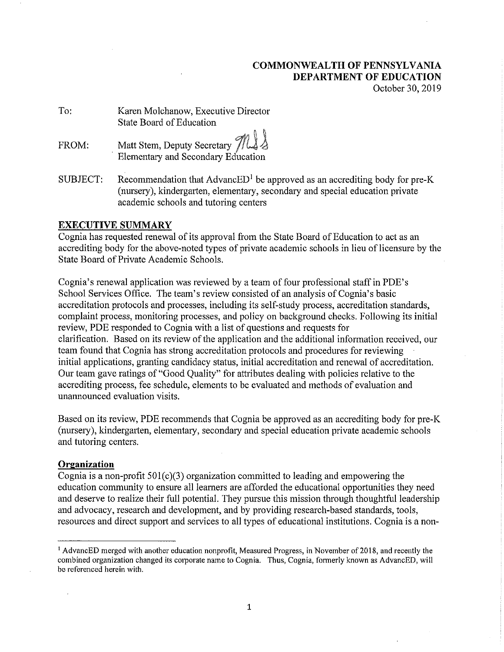# **COMMONWEALTH OF PENNSYLVANIA DEPARTMENT OF EDUCATION**  October 30, 2019

To: Karen Molchanow, Executive Director State Board of Education

FROM: Matt Stem, Deputy Secretary  $\frac{7}{16}$ Elementary and Secondary Education

SUBJECT: Recommendation that  $\text{AdvanceED}^1$  be approved as an accrediting body for pre-K (nursery), kindergarten, elementary, secondary and special education private academic schools and tutoring centers

# **EXECUTIVE SUMMARY**

Cognia has requested renewal of its approval from the State Board of Education to act as an accrediting body for the above-noted types of private academic schools in lieu of licensure by the State Board of Private Academic Schools.

Cognia's renewal application was reviewed by a team of four professional staff in PDE's School Services Office. The team's review consisted of an analysis of Cognia's basic accreditation protocols and processes, including its self-study process, accreditation standards, complaint process, monitoring processes, and policy on background checks. Following its initial review, PDE responded to Cognia with a list of questions and requests for clarification. Based on its review of the application and the additional information received, our team found that Cognia has strong accreditation protocols and procedures for reviewing initial applications, granting candidacy status, initial accreditation and renewal of accreditation. Our team gave ratings of "Good Quality" for attributes dealing with policies relative to the accrediting process, fee schedule, elements to be evaluated and methods of evaluation and unannounced evaluation visits.

Based on its review, PDE recommends that Cognia be approved as an accrediting body for pre-K (nursery), kindergarten, elementary, secondary and special education private academic schools and tutoring centers.

# **Organization**

Cognia is a non-profit 50l(c)(3) organization committed to leading and empowering the education community to ensure all learners are afforded the educational opportunities they need and deserve to realize their full potential. They pursue this mission through thoughtful leadership and advocacy, research and development, and by providing research-based standards, tools, resources and direct support and services to all types of educational institutions. Cognia is a non-

<sup>1</sup> AdvancED merged with another education nonprofit, Measured Progress, in November of 2018, and recently the combined organization changed its corporate name to Cognia. Thus, Cognia, formerly known as AdvancED, will be referenced herein with.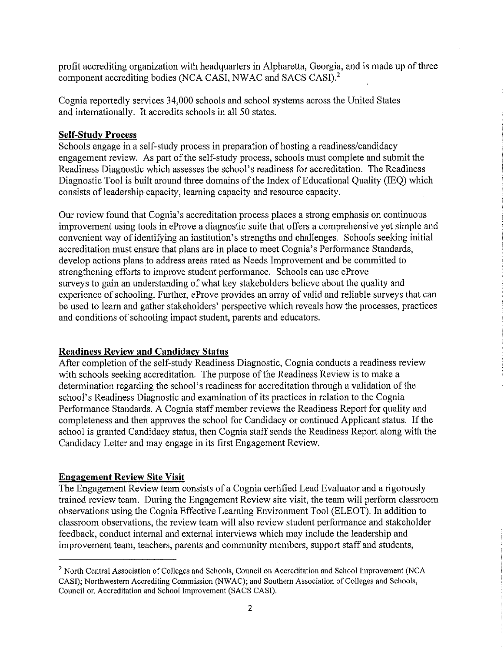profit accrediting organization with headquarters in Alpharetta, Georgia, and is made up of three component accrediting bodies (NCA CASI, NWAC and SACS CASI).2

Cognia reportedly services 34,000 schools and school systems across the United States and internationally. It accredits schools in all 50 states.

# **Self-Study Process**

Schools engage in a self-study process in preparation of hosting a readiness/candidacy engagement review. As part of the self-study process, schools must complete and submit the Readiness Diagnostic which assesses the school's readiness for accreditation. The Readiness Diagnostic Tool is built around three domains of the Index of Educational Quality (IEQ) which consists of leadership capacity, learning capacity and resource capacity.

Our review found that Cognia' s accreditation process places a strong emphasis on continuous improvement using tools in eProve a diagnostic suite that offers a comprehensive yet simple and convenient way of identifying an institution's strengths and challenges. Schools seeking initial accreditation must ensure that plans are in place to meet Cognia's Performance Standards, develop actions plans to address areas rated as Needs Improvement and be committed to strengthening efforts to improve student performance. Schools can use eProve surveys to gain an understanding of what key stakeholders believe about the quality and experience of schooling. Further, eProve provides an array of valid and reliable surveys that can be used to learn and gather stakeholders' perspective which reveals how the processes, practices and conditions of schooling impact student, parents and educators.

# **Readiness Review and Candidacy Status**

After completion of the self-study Readiness Diagnostic, Cognia conducts a readiness review with schools seeking accreditation. The purpose of the Readiness Review is to make a determination regarding the school's readiness for accreditation through a validation of the school's Readiness Diagnostic and examination of its practices in relation to the Cognia Performance Standards. A Cognia staff member reviews the Readiness Report for quality and completeness and then approves the school for Candidacy or continued Applicant status. If the school is granted Candidacy status, then Cognia staff sends the Readiness Report along with the Candidacy Letter and may engage in its first Engagement Review.

## **Engagement Review Site Visit**

The Engagement Review team consists of a Cognia certified Lead Evaluator and a rigorously trained review team. During the Engagement Review site visit, the team will perform classroom observations using the Cognia Effective Leaming Environment Tool (ELEOT). In addition to classroom observations, the review team will also review student performance and stakeholder feedback, conduct internal and external interviews which may include the leadership and improvement team, teachers, parents and community members, support staff and students,

<sup>&</sup>lt;sup>2</sup> North Central Association of Colleges and Schools, Council on Accreditation and School Improvement (NCA CASI); Northwestern Accrediting Commission (NWAC); and Southern Association of Colleges and Schools, Council on Accreditation and School Improvement (SACS CASI).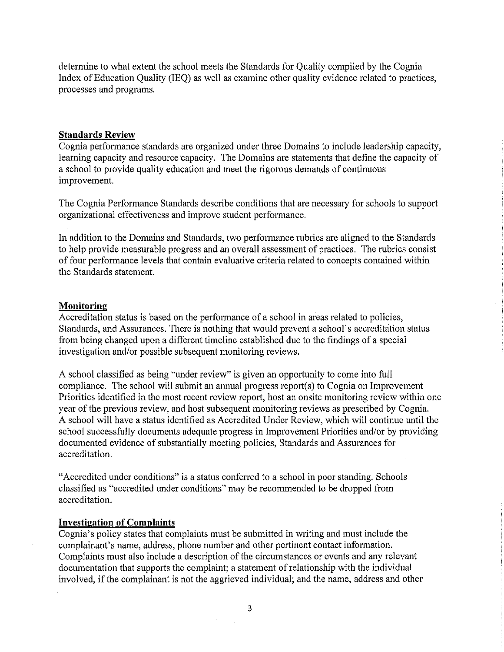determine to what extent the school meets the Standards for Quality compiled by the Cognia Index of Education Quality (IEQ) as well as examine other quality evidence related to practices, processes and programs.

### **Standards Review**

Cognia performance standards are organized under three Domains to include leadership capacity, learning capacity and resource capacity. The Domains are statements that define the capacity of a school to provide quality education and meet the rigorous demands of continuous improvement.

The Cognia Performance Standards describe conditions that are necessary for schools to support organizational effectiveness and improve student performance.

In addition to the Domains and Standards, two performance rubrics are aligned to the Standards to help provide measurable progress and an overall assessment of practices. The rubrics consist of four performance levels that contain evaluative criteria related to concepts contained within the Standards statement.

## **Monitoring**

Accreditation status is based on the performance of a school in areas related to policies, Standards, and Assurances. There is nothing that would prevent a school's accreditation status from being changed upon a different timeline established due to the findings of a special investigation and/or possible subsequent monitoring reviews.

A school classified as being "under review" is given an opportunity to come into full compliance. The school will submit an annual progress report(s) to Cognia on Improvement Priorities identified in the most recent review report, host an onsite monitoring review within one year of the previous review, and host subsequent monitoring reviews as prescribed by Cognia. A school will have a status identified as Accredited Under Review, which will continue until the school successfully documents adequate progress in Improvement Priorities and/or by providing documented evidence of substantially meeting policies, Standards and Assurances for accreditation.

"Accredited under conditions" is a status conferred to a school in poor standing. Schools classified as "accredited under conditions" may be recommended to be dropped from accreditation.

#### **Investigation of Complaints**

Cognia's policy states that complaints must be submitted in writing and must include the complainant's name, address, phone number and other pertinent contact infotmation. Complaints must also include a description of the circumstances or events and any relevant documentation that supports the complaint; a statement of relationship with the individual involved, if the complainant is not the aggrieved individual; and the name, address and other